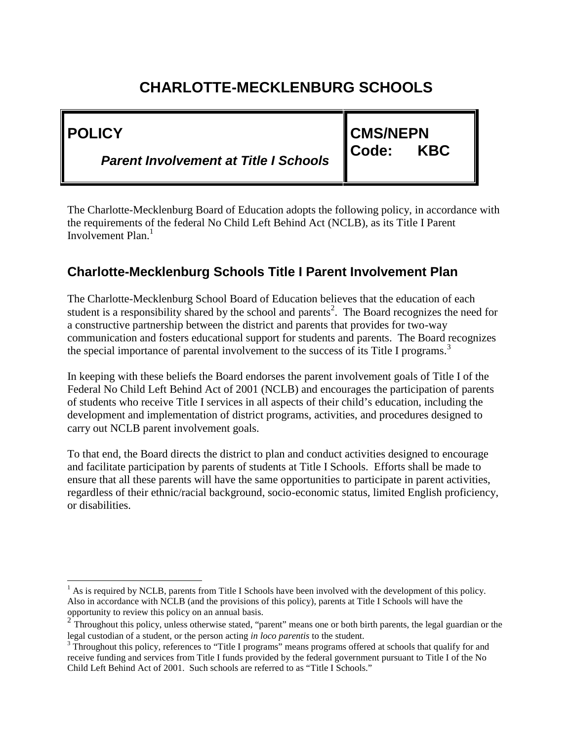| <b>IPOLICY</b>                               | <b>CMS/NEPN</b>              |  |
|----------------------------------------------|------------------------------|--|
| <b>Parent Involvement at Title I Schools</b> | <b>KBC</b><br><b>I</b> Code: |  |

The Charlotte-Mecklenburg Board of Education adopts the following policy, in accordance with the requirements of the federal No Child Left Behind Act (NCLB), as its Title I Parent Involvement Plan.<sup>1</sup>

#### **Charlotte-Mecklenburg Schools Title I Parent Involvement Plan**

The Charlotte-Mecklenburg School Board of Education believes that the education of each student is a responsibility shared by the school and parents<sup>2</sup>. The Board recognizes the need for a constructive partnership between the district and parents that provides for two-way communication and fosters educational support for students and parents. The Board recognizes the special importance of parental involvement to the success of its Title I programs.<sup>3</sup>

In keeping with these beliefs the Board endorses the parent involvement goals of Title I of the Federal No Child Left Behind Act of 2001 (NCLB) and encourages the participation of parents of students who receive Title I services in all aspects of their child's education, including the development and implementation of district programs, activities, and procedures designed to carry out NCLB parent involvement goals.

To that end, the Board directs the district to plan and conduct activities designed to encourage and facilitate participation by parents of students at Title I Schools. Efforts shall be made to ensure that all these parents will have the same opportunities to participate in parent activities, regardless of their ethnic/racial background, socio-economic status, limited English proficiency, or disabilities.

 $<sup>1</sup>$  As is required by NCLB, parents from Title I Schools have been involved with the development of this policy.</sup> Also in accordance with NCLB (and the provisions of this policy), parents at Title I Schools will have the opportunity to review this policy on an annual basis.

<sup>2</sup> Throughout this policy, unless otherwise stated, "parent" means one or both birth parents, the legal guardian or the legal custodian of a student, or the person acting *in loco parentis* to the student.<br><sup>3</sup> Throughout this policy, references to "Title I programs" means programs offered at schools that qualify for and

receive funding and services from Title I funds provided by the federal government pursuant to Title I of the No Child Left Behind Act of 2001. Such schools are referred to as "Title I Schools."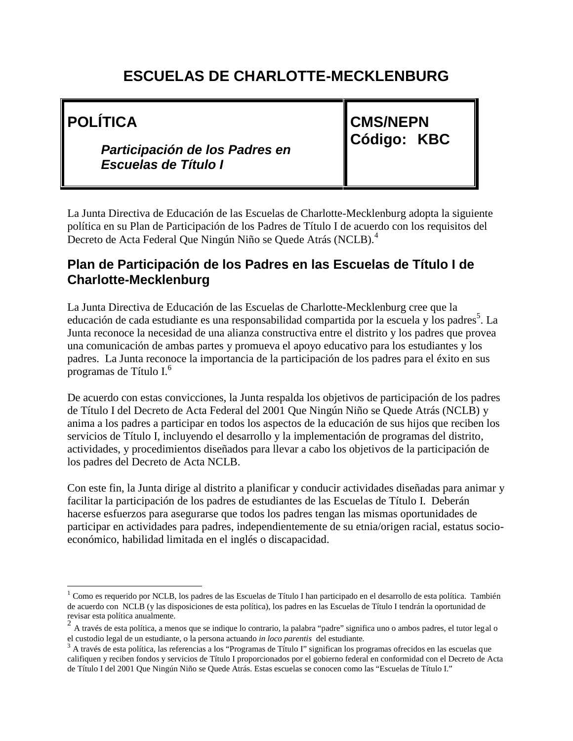**POLÍTICA**

*Participación de los Padres en Escuelas de Título I*

**CMS/NEPN Código: KBC**

La Junta Directiva de Educación de las Escuelas de Charlotte-Mecklenburg adopta la siguiente política en su Plan de Participación de los Padres de Título I de acuerdo con los requisitos del Decreto de Acta Federal Que Ningún Niño se Quede Atrás (NCLB).<sup>4</sup>

#### **Plan de Participación de los Padres en las Escuelas de Título I de Charlotte-Mecklenburg**

La Junta Directiva de Educación de las Escuelas de Charlotte-Mecklenburg cree que la educación de cada estudiante es una responsabilidad compartida por la escuela y los padres<sup>5</sup>. La Junta reconoce la necesidad de una alianza constructiva entre el distrito y los padres que provea una comunicación de ambas partes y promueva el apoyo educativo para los estudiantes y los padres. La Junta reconoce la importancia de la participación de los padres para el éxito en sus programas de Título I.<sup>6</sup>

De acuerdo con estas convicciones, la Junta respalda los objetivos de participación de los padres de Título I del Decreto de Acta Federal del 2001 Que Ningún Niño se Quede Atrás (NCLB) y anima a los padres a participar en todos los aspectos de la educación de sus hijos que reciben los servicios de Título I, incluyendo el desarrollo y la implementación de programas del distrito, actividades, y procedimientos diseñados para llevar a cabo los objetivos de la participación de los padres del Decreto de Acta NCLB.

Con este fin, la Junta dirige al distrito a planificar y conducir actividades diseñadas para animar y facilitar la participación de los padres de estudiantes de las Escuelas de Título I. Deberán hacerse esfuerzos para asegurarse que todos los padres tengan las mismas oportunidades de participar en actividades para padres, independientemente de su etnia/origen racial, estatus socio económico, habilidad limitada en el inglés o discapacidad.

 $1$  Como es requerido por NCLB, los padres de las Escuelas de Título I han participado en el desarrollo de esta política. También de acuerdo con NCLB (y las disposiciones de esta política), los padres en las Escuelas de Título I tendrán la oportunidad de revisar esta política anualmente.

 $2 \text{ A}$  través de esta política, a menos que se indique lo contrario, la palabra "padre" significa uno o ambos padres, el tutor legal o el custodio legal de un estudiante, o la persona actuando in loco parentis del estud

<sup>&</sup>lt;sup>3</sup> A través de esta política, las referencias a los "Programas de Título I" significan los programas ofrecidos en las escuelas que califiquen y reciben fondos y servicios de Título I proporcionados por el gobierno federal en conformidad con el Decreto de Acta de Título I del 2001 Que Ningún Niño se Quede Atrás. Estas escuelas se conocen como las "Escuelas de Título I."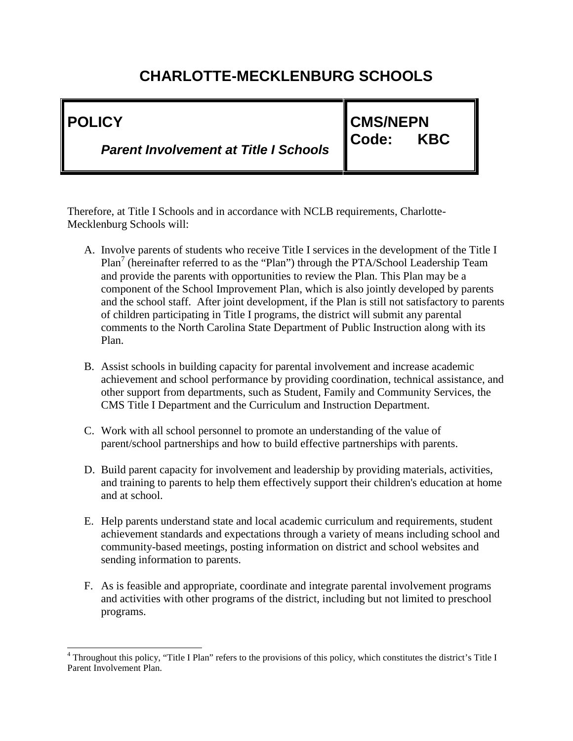| I POLICY                                     | <b>CMS/NEPN</b>              |  |
|----------------------------------------------|------------------------------|--|
| <b>Parent Involvement at Title I Schools</b> | <b>KBC</b><br><b>I</b> Code: |  |

Therefore, at Title I Schools and in accordance with NCLB requirements, Charlotte- Mecklenburg Schools will:

- A. Involve parents of students who receive Title I services in the development of the Title I Plan<sup>7</sup> (hereinafter referred to as the "Plan") through the PTA/School Leadership Team and provide the parents with opportunities to review the Plan. This Plan may be a component of the School Improvement Plan, which is also jointly developed by parents and the school staff. After joint development, if the Plan is still not satisfactory to parents of children participating in Title I programs, the district will submit any parental comments to the North Carolina State Department of Public Instruction along with its Plan.
- B. Assist schools in building capacity for parental involvement and increase academic achievement and school performance by providing coordination, technical assistance, and other support from departments, such as Student, Family and Community Services, the CMS Title I Department and the Curriculum and Instruction Department.
- C. Work with all school personnel to promote an understanding of the value of parent/school partnerships and how to build effective partnerships with parents.
- D. Build parent capacity for involvement and leadership by providing materials, activities, and training to parents to help them effectively support their children's education at home and at school.
- E. Help parents understand state and local academic curriculum and requirements, student achievement standards and expectations through a variety of means including school and community-based meetings, posting information on district and school websites and sending information to parents.
- F. As is feasible and appropriate, coordinate and integrate parental involvement programs and activities with other programs of the district, including but not limited to preschool programs.

<sup>&</sup>lt;sup>4</sup> Throughout this policy, "Title I Plan" refers to the provisions of this policy, which constitutes the district's Title I Parent Involvement Plan.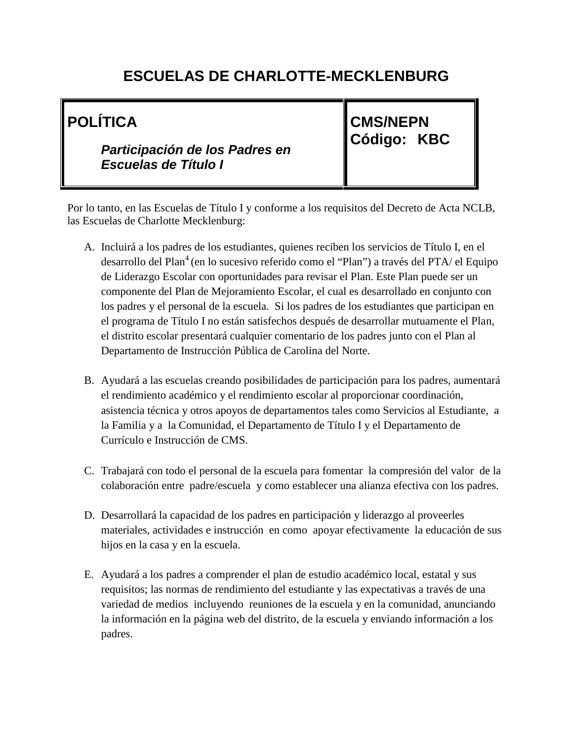# **POLÍTICA**

*Participación de los Padres en Escuelas de Título I*

**CMS/NEPN Código: KBC**

Por lo tanto, en las Escuelas de Título I y conforme a los requisitos del Decreto de Acta NCLB, las Escuelas de Charlotte Mecklenburg:

- A. Incluirá a los padres de los estudiantes, quienes reciben los servicios de Título I, en el desarrollo del Plan<sup>4</sup> (en lo sucesivo referido como el "Plan") a través del PTA/ el Equipo de Liderazgo Escolar con oportunidades para revisar el Plan. Este Plan puede ser un componente del Plan de Mejoramiento Escolar, el cual es desarrollado en conjunto con los padres y el personal de la escuela. Si los padres de los estudiantes que participan en el programa de Título I no están satisfechos después de desarrollar mutuamente el Plan, el distrito escolar presentará cualquier comentario de los padres junto con el Plan al Departamento de Instrucción Pública de Carolina del Norte.
- B. Ayudará a las escuelas creando posibilidades de participación para los padres, aumentará el rendimiento académico y el rendimiento escolar al proporcionar coordinación, asistencia técnica y otros apoyos de departamentos tales como Servicios al Estudiante, a la Familia y a la Comunidad, el Departamento de Título I y el Departamento de Currículo e Instrucción de CMS.
- C. Trabajará con todo el personal de la escuela para fomentar la compresión del valor de la colaboración entre padre/escuela y como establecer una alianza efectiva con los padres.
- D. Desarrollará la capacidad de los padres en participación y liderazgo al proveerles materiales, actividades e instrucción en como apoyar efectivamente la educación de sus hijos en la casa y en la escuela.
- E. Ayudará a los padres a comprender el plan de estudio académico local, estatal y sus requisitos; las normas de rendimiento del estudiante y las expectativas a través de una variedad de medios incluyendo reuniones de la escuela y en la comunidad, anunciando la información en la página web del distrito, de la escuela y enviando información a los padres.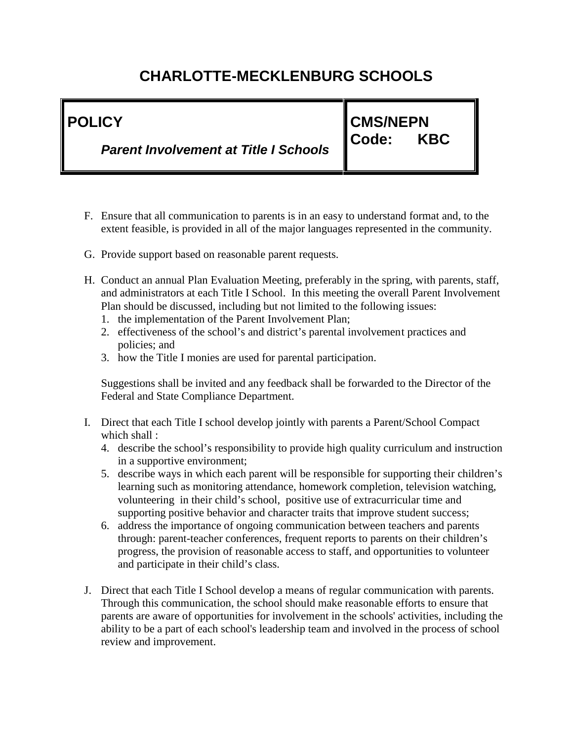| <b>I POLICY</b>                              | <b>CMS/NEPN</b>              |  |
|----------------------------------------------|------------------------------|--|
| <b>Parent Involvement at Title I Schools</b> | <b>KBC</b><br>${\sf ICode:}$ |  |

- F. Ensure that all communication to parents is in an easy to understand format and, to the extent feasible, is provided in all of the major languages represented in the community.
- G. Provide support based on reasonable parent requests.
- H. Conduct an annual Plan Evaluation Meeting, preferably in the spring, with parents, staff, and administrators at each Title I School. In this meeting the overall Parent Involvement Plan should be discussed, including but not limited to the following issues:
	- 1. the implementation of the Parent Involvement Plan;
	- 2. effectiveness of the school's and district's parental involvement practices and policies; and
	- 3. how the Title I monies are used for parental participation.

Suggestions shall be invited and any feedback shall be forwarded to the Director of the Federal and State Compliance Department.

- I. Direct that each Title I school develop jointly with parents a Parent/School Compact which shall :
	- 4. describe the school's responsibility to provide high quality curriculum and instruction in a supportive environment;
	- 5. describe ways in which each parent will be responsible for supporting their children's learning such as monitoring attendance, homework completion, television watching, volunteering in their child's school, positive use of extracurricular time and supporting positive behavior and character traits that improve student success;
	- 6. address the importance of ongoing communication between teachers and parents through: parent-teacher conferences, frequent reports to parents on their children's progress, the provision of reasonable access to staff, and opportunities to volunteer and participate in their child's class.
- J. Direct that each Title I School develop a means of regular communication with parents. Through this communication, the school should make reasonable efforts to ensure that parents are aware of opportunities for involvement in the schools' activities, including the ability to be a part of each school's leadership team and involved in the process of school review and improvement.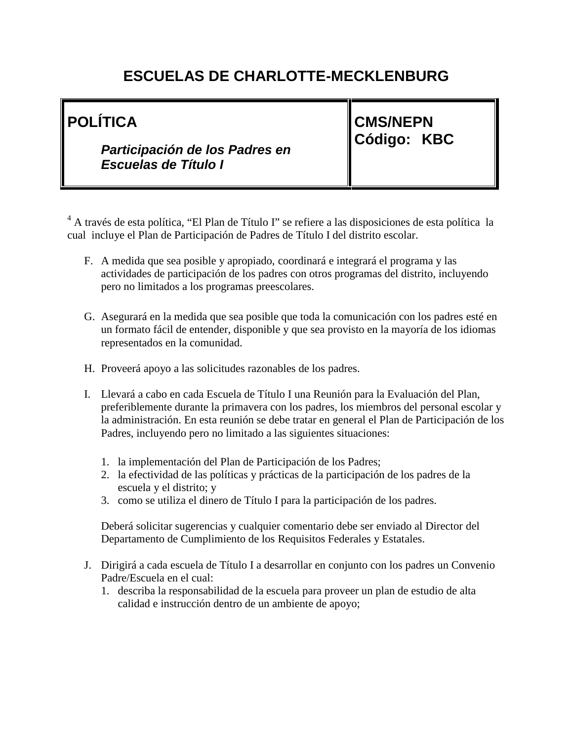# **POLÍTICA**

*Participación de los Padres en Escuelas de Título I*

**CMS/NEPN Código: KBC**

<sup>4</sup> A través de esta política, "El Plan de Título I" se refiere a las disposiciones de esta política la cual incluye el Plan de Participación de Padres de Título I del distrito escolar.

- F. A medida que sea posible y apropiado, coordinará e integrará el programa y las actividades de participación de los padres con otros programas del distrito, incluyendo pero no limitados a los programas preescolares.
- G. Asegurará en la medida que sea posible que toda la comunicación con los padres esté en un formato fácil de entender, disponible y que sea provisto en la mayoría de los idiomas representados en la comunidad.
- H. Proveerá apoyo a las solicitudes razonables de los padres.
- I. Llevará a cabo en cada Escuela de Título I una Reunión para la Evaluación del Plan, preferiblemente durante la primavera con los padres, los miembros del personal escolar y la administración. En esta reunión se debe tratar en general el Plan de Participación de los Padres, incluyendo pero no limitado a las siguientes situaciones:
	- 1. la implementación del Plan de Participación de los Padres;
	- 2. la efectividad de las políticas y prácticas de la participación de los padres de la escuela y el distrito; y
	- 3. como se utiliza el dinero de Título I para la participación de los padres.

Deberá solicitar sugerencias y cualquier comentario debe ser enviado al Director del Departamento de Cumplimiento de los Requisitos Federales y Estatales.

- J. Dirigirá a cada escuela de Título I a desarrollar en conjunto con los padres un Convenio Padre/Escuela en el cual:
	- 1. describa la responsabilidad de la escuela para proveer un plan de estudio de alta calidad e instrucción dentro de un ambiente de apoyo;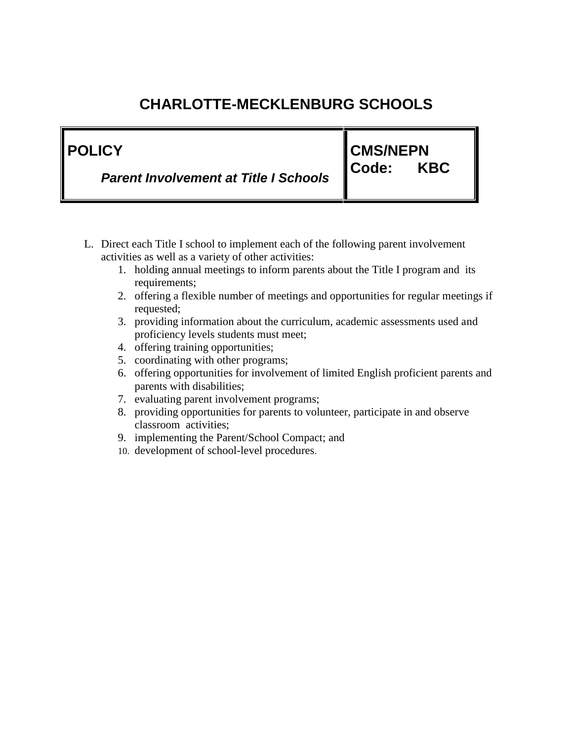| ∥ POLICY                                     | <b>CMS/NEPN</b> |            |  |
|----------------------------------------------|-----------------|------------|--|
| <b>Parent Involvement at Title I Schools</b> | <b>I</b> Code:  | <b>KBC</b> |  |

- L. Direct each Title I school to implement each of the following parent involvement activities as well as a variety of other activities:
	- 1. holding annual meetings to inform parents about the Title I program and its requirements;
	- 2. offering a flexible number of meetings and opportunities for regular meetings if requested;
	- 3. providing information about the curriculum, academic assessments used and proficiency levels students must meet;
	- 4. offering training opportunities;
	- 5. coordinating with other programs;
	- 6. offering opportunities for involvement of limited English proficient parents and parents with disabilities;
	- 7. evaluating parent involvement programs;
	- 8. providing opportunities for parents to volunteer, participate in and observe classroom activities;
	- 9. implementing the Parent/School Compact; and
	- 10. development of school-level procedures.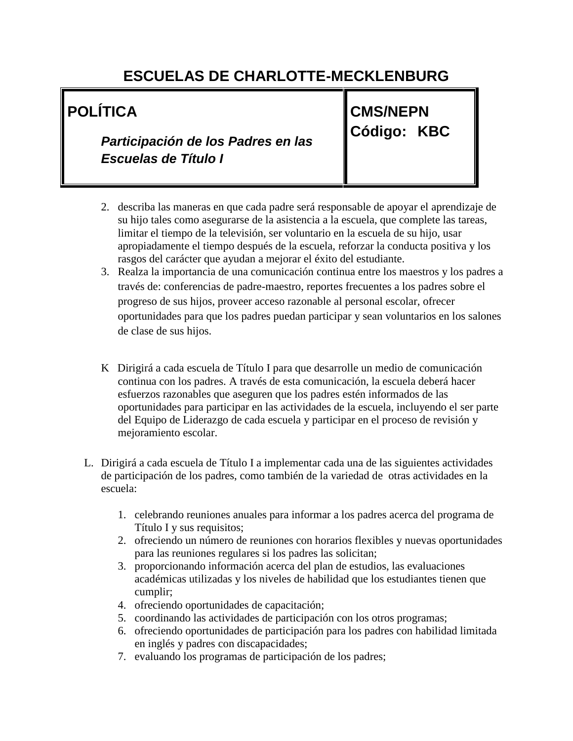# **POLÍTICA**

*Participación de los Padres en las Escuelas de Título I*

**CMS/NEPN Código: KBC**

- 2. describa las maneras en que cada padre será responsable de apoyar el aprendizaje de su hijo tales como asegurarse de la asistencia a la escuela, que complete las tareas, limitar el tiempo de la televisión, ser voluntario en la escuela de su hijo, usar apropiadamente el tiempo después de la escuela, reforzar la conducta positiva y los rasgos del carácter que ayudan a mejorar el éxito del estudiante.
- 3. Realza la importancia de una comunicación continua entre los maestros y los padres a través de: conferencias de padre-maestro, reportes frecuentes a los padres sobre el progreso de sus hijos, proveer acceso razonable al personal escolar, ofrecer oportunidades para que los padres puedan participar y sean voluntarios en los salones de clase de sus hijos.
- K Dirigirá a cada escuela de Título I para que desarrolle un medio de comunicación continua con los padres. A través de esta comunicación, la escuela deberá hacer esfuerzos razonables que aseguren que los padres estén informados de las oportunidades para participar en las actividades de la escuela, incluyendo el ser parte del Equipo de Liderazgo de cada escuela y participar en el proceso de revisión y mejoramiento escolar.
- L. Dirigirá a cada escuela de Título I a implementar cada una de las siguientes actividades de participación de los padres, como también de la variedad de otras actividades en la escuela:
	- 1. celebrando reuniones anuales para informar a los padres acerca del programa de Título I y sus requisitos;
	- 2. ofreciendo un número de reuniones con horarios flexibles y nuevas oportunidades para las reuniones regulares si los padres las solicitan;
	- 3. proporcionando información acerca del plan de estudios, las evaluaciones académicas utilizadas y los niveles de habilidad que los estudiantes tienen que cumplir;
	- 4. ofreciendo oportunidades de capacitación;
	- 5. coordinando las actividades de participación con los otros programas;
	- 6. ofreciendo oportunidades de participación para los padres con habilidad limitada en inglés y padres con discapacidades;
	- 7. evaluando los programas de participación de los padres;